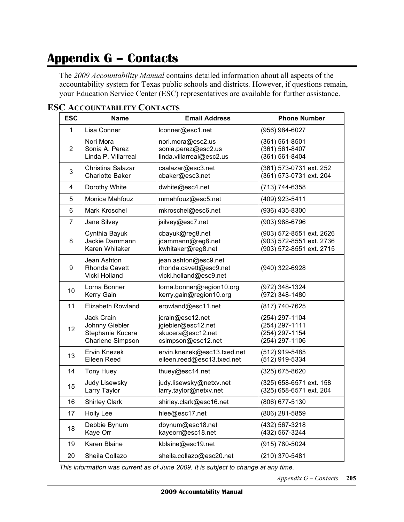## **Appendix G – Contacts**

 The *2009 Accountability Manual* contains detailed information about all aspects of the accountability system for Texas public schools and districts. However, if questions remain, your Education Service Center (ESC) representatives are available for further assistance.

| <b>ESC</b>     | <b>Name</b>                                                          | <b>Email Address</b>                                                              | <b>Phone Number</b>                                                              |
|----------------|----------------------------------------------------------------------|-----------------------------------------------------------------------------------|----------------------------------------------------------------------------------|
| 1              | Lisa Conner                                                          | lconner@esc1.net                                                                  | (956) 984-6027                                                                   |
| $\overline{2}$ | Nori Mora<br>Sonia A. Perez<br>Linda P. Villarreal                   | nori.mora@esc2.us<br>sonia.perez@esc2.us<br>linda.villarreal@esc2.us              | (361) 561-8501<br>(361) 561-8407<br>(361) 561-8404                               |
| 3              | Christina Salazar<br><b>Charlotte Baker</b>                          | csalazar@esc3.net<br>cbaker@esc3.net                                              | (361) 573-0731 ext. 252<br>(361) 573-0731 ext. 204                               |
| 4              | Dorothy White                                                        | dwhite@esc4.net                                                                   | (713) 744-6358                                                                   |
| 5              | Monica Mahfouz                                                       | mmahfouz@esc5.net                                                                 | (409) 923-5411                                                                   |
| 6              | Mark Kroschel                                                        | mkroschel@esc6.net                                                                | (936) 435-8300                                                                   |
| $\overline{7}$ | Jane Silvey                                                          | jsilvey@esc7.net                                                                  | (903) 988-6796                                                                   |
| 8              | Cynthia Bayuk<br>Jackie Dammann<br>Karen Whitaker                    | cbayuk@reg8.net<br>jdammann@reg8.net<br>kwhitaker@reg8.net                        | (903) 572-8551 ext. 2626<br>(903) 572-8551 ext. 2736<br>(903) 572-8551 ext. 2715 |
| 9              | Jean Ashton<br><b>Rhonda Cavett</b><br>Vicki Holland                 | jean.ashton@esc9.net<br>rhonda.cavett@esc9.net<br>vicki.holland@esc9.net          | (940) 322-6928                                                                   |
| 10             | Lorna Bonner<br>Kerry Gain                                           | lorna.bonner@region10.org<br>kerry.gain@region10.org                              | (972) 348-1324<br>(972) 348-1480                                                 |
| 11             | <b>Elizabeth Rowland</b>                                             | erowland@esc11.net                                                                | (817) 740-7625                                                                   |
| 12             | Jack Crain<br>Johnny Giebler<br>Stephanie Kucera<br>Charlene Simpson | jcrain@esc12.net<br>jgiebler@esc12.net<br>skucera@esc12.net<br>csimpson@esc12.net | (254) 297-1104<br>(254) 297-1111<br>(254) 297-1154<br>(254) 297-1106             |
| 13             | Ervin Knezek<br>Eileen Reed                                          | ervin.knezek@esc13.txed.net<br>eileen.reed@esc13.txed.net                         | (512) 919-5485<br>(512) 919-5334                                                 |
| 14             | <b>Tony Huey</b>                                                     | thuey@esc14.net                                                                   | (325) 675-8620                                                                   |
| 15             | <b>Judy Lisewsky</b><br>Larry Taylor                                 | judy.lisewsky@netxv.net<br>larry.taylor@netxv.net                                 | (325) 658-6571 ext. 158<br>(325) 658-6571 ext. 204                               |
| 16             | <b>Shirley Clark</b>                                                 | shirley.clark@esc16.net                                                           | (806) 677-5130                                                                   |
| 17             | <b>Holly Lee</b>                                                     | hlee@esc17.net                                                                    | (806) 281-5859                                                                   |
| 18             | Debbie Bynum<br>Kaye Orr                                             | dbynum@esc18.net<br>kayeorr@esc18.net                                             | (432) 567-3218<br>(432) 567-3244                                                 |
| 19             | Karen Blaine                                                         | kblaine@esc19.net                                                                 | (915) 780-5024                                                                   |
| 20             | Sheila Collazo                                                       | sheila.collazo@esc20.net                                                          | (210) 370-5481                                                                   |

## **ESC ACCOUNTABILITY CONTACTS**

 *This information was current as of June 2009. It is subject to change at any time.*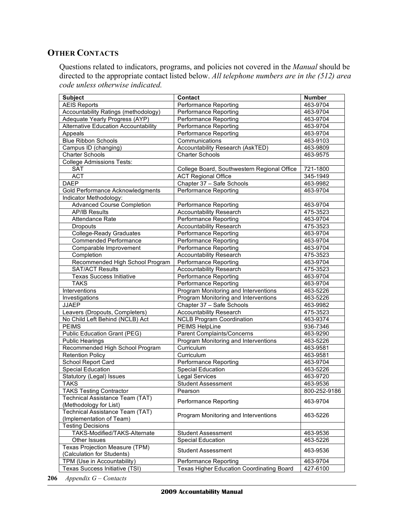## **OTHER CONTACTS**

 Questions related to indicators, programs, and policies not covered in the *Manual* should be directed to the appropriate contact listed below. *All telephone numbers are in the (512) area code unless otherwise indicated.* 

| <b>Subject</b>                                               | Contact                                     | <b>Number</b> |
|--------------------------------------------------------------|---------------------------------------------|---------------|
| <b>AEIS Reports</b>                                          | Performance Reporting                       | 463-9704      |
| Accountability Ratings (methodology)                         | <b>Performance Reporting</b>                | 463-9704      |
| Adequate Yearly Progress (AYP)                               | Performance Reporting                       | 463-9704      |
| <b>Alternative Education Accountability</b>                  | <b>Performance Reporting</b>                | 463-9704      |
| Appeals                                                      | <b>Performance Reporting</b>                | 463-9704      |
| <b>Blue Ribbon Schools</b>                                   | Communications                              | 463-9103      |
| Campus ID (changing)                                         | Accountability Research (AskTED)            | 463-9809      |
| Charter Schools                                              | <b>Charter Schools</b>                      | 463-9575      |
| <b>College Admissions Tests:</b>                             |                                             |               |
| <b>SAT</b>                                                   | College Board, Southwestern Regional Office | 721-1800      |
| <b>ACT</b>                                                   | <b>ACT Regional Office</b>                  | 345-1949      |
| <b>DAEP</b>                                                  | Chapter 37 - Safe Schools                   | 463-9982      |
| Gold Performance Acknowledgments                             | Performance Reporting                       | 463-9704      |
| Indicator Methodology:                                       |                                             |               |
| <b>Advanced Course Completion</b>                            | Performance Reporting                       | 463-9704      |
| <b>AP/IB Results</b>                                         | <b>Accountability Research</b>              | 475-3523      |
| Attendance Rate                                              | Performance Reporting                       | 463-9704      |
| Dropouts                                                     | <b>Accountability Research</b>              | 475-3523      |
| College-Ready Graduates                                      | <b>Performance Reporting</b>                | 463-9704      |
| Commended Performance                                        | Performance Reporting                       | 463-9704      |
| Comparable Improvement                                       | Performance Reporting                       | 463-9704      |
| Completion                                                   | <b>Accountability Research</b>              | 475-3523      |
| Recommended High School Program                              | Performance Reporting                       | 463-9704      |
| <b>SAT/ACT Results</b>                                       | Accountability Research                     | 475-3523      |
| <b>Texas Success Initiative</b>                              | <b>Performance Reporting</b>                | 463-9704      |
| <b>TAKS</b>                                                  | Performance Reporting                       | 463-9704      |
| Interventions                                                | Program Monitoring and Interventions        | 463-5226      |
| Investigations                                               | Program Monitoring and Interventions        | 463-5226      |
| <b>JJAEP</b>                                                 | Chapter 37 - Safe Schools                   | 463-9982      |
| Leavers (Dropouts, Completers)                               | <b>Accountability Research</b>              | 475-3523      |
| No Child Left Behind (NCLB) Act                              | <b>NCLB Program Coordination</b>            | 463-9374      |
| <b>PEIMS</b>                                                 | PEIMS HelpLine                              | 936-7346      |
| <b>Public Education Grant (PEG)</b>                          | Parent Complaints/Concerns                  | 463-9290      |
| <b>Public Hearings</b>                                       | Program Monitoring and Interventions        | 463-5226      |
| Recommended High School Program                              | Curriculum                                  | 463-9581      |
| <b>Retention Policy</b>                                      | Curriculum                                  | 463-9581      |
| School Report Card                                           | Performance Reporting                       | 463-9704      |
| <b>Special Education</b>                                     | <b>Special Education</b>                    | 463-5226      |
| Statutory (Legal) Issues                                     | <b>Legal Services</b>                       | 463-9720      |
| <b>TAKS</b>                                                  | <b>Student Assessment</b>                   | 463-9536      |
| <b>TAKS Testing Contractor</b>                               | Pearson                                     | 800-252-9186  |
| Technical Assistance Team (TAT)<br>(Methodology for List)    | Performance Reporting                       | 463-9704      |
| Technical Assistance Team (TAT)<br>(Implementation of Team)  | Program Monitoring and Interventions        | 463-5226      |
| <b>Testing Decisions</b>                                     |                                             |               |
| TAKS-Modified/TAKS-Alternate                                 | <b>Student Assessment</b>                   | 463-9536      |
| Other Issues                                                 | <b>Special Education</b>                    | 463-5226      |
| Texas Projection Measure (TPM)<br>(Calculation for Students) | <b>Student Assessment</b>                   | 463-9536      |
| TPM (Use in Accountability)                                  | Performance Reporting                       | 463-9704      |
| Texas Success Initiative (TSI)                               | Texas Higher Education Coordinating Board   | 427-6100      |

 **206** *Appendix G – Contacts*